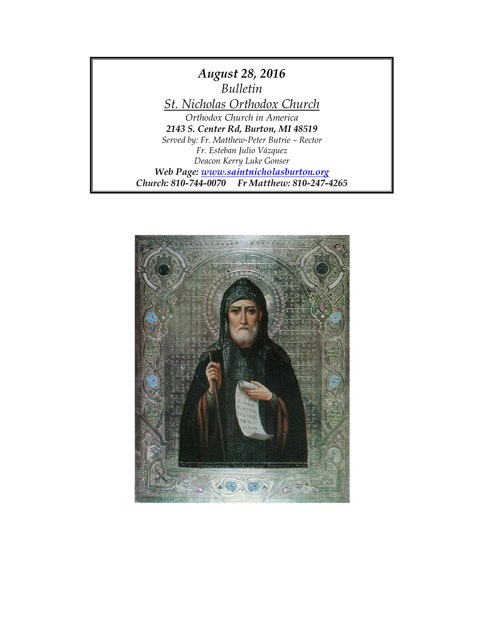

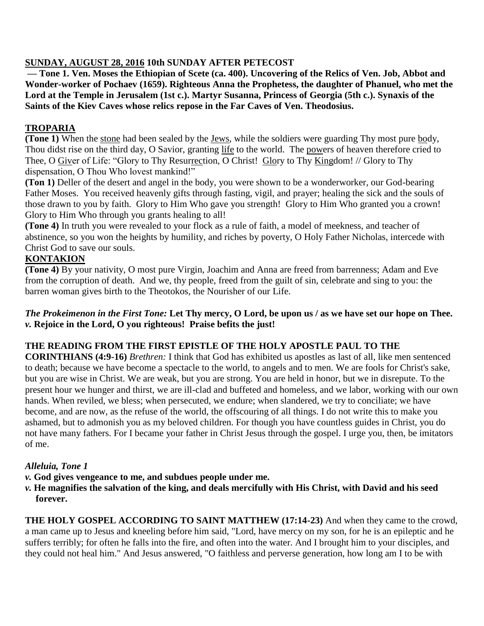### **SUNDAY, AUGUST 28, 2016 10th SUNDAY AFTER PETECOST**

**— Tone 1. Ven. Moses the Ethiopian of Scete (ca. 400). Uncovering of the Relics of Ven. Job, Abbot and Wonder-worker of Pochaev (1659). Righteous Anna the Prophetess, the daughter of Phanuel, who met the Lord at the Temple in Jerusalem (1st c.). Martyr Susanna, Princess of Georgia (5th c.). Synaxis of the Saints of the Kiev Caves whose relics repose in the Far Caves of Ven. Theodosius.**

## **TROPARIA**

**(Tone 1)** When the stone had been sealed by the Jews, while the soldiers were guarding Thy most pure body, Thou didst rise on the third day, O Savior, granting life to the world. The powers of heaven therefore cried to Thee, O Giver of Life: "Glory to Thy Resurrection, O Christ! Glory to Thy Kingdom! // Glory to Thy dispensation, O Thou Who lovest mankind!"

**(Ton 1)** Deller of the desert and angel in the body, you were shown to be a wonderworker, our God-bearing Father Moses. You received heavenly gifts through fasting, vigil, and prayer; healing the sick and the souls of those drawn to you by faith. Glory to Him Who gave you strength! Glory to Him Who granted you a crown! Glory to Him Who through you grants healing to all!

**(Tone 4)** In truth you were revealed to your flock as a rule of faith, a model of meekness, and teacher of abstinence, so you won the heights by humility, and riches by poverty, O Holy Father Nicholas, intercede with Christ God to save our souls.

## **KONTAKION**

**(Tone 4)** By your nativity, O most pure Virgin, Joachim and Anna are freed from barrenness; Adam and Eve from the corruption of death. And we, thy people, freed from the guilt of sin, celebrate and sing to you: the barren woman gives birth to the Theotokos, the Nourisher of our Life.

#### *The Prokeimenon in the First Tone:* **Let Thy mercy, O Lord, be upon us / as we have set our hope on Thee.** *v.* **Rejoice in the Lord, O you righteous! Praise befits the just!**

## **THE READING FROM THE FIRST EPISTLE OF THE HOLY APOSTLE PAUL TO THE**

**CORINTHIANS (4:9-16)** *Brethren:* I think that God has exhibited us apostles as last of all, like men sentenced to death; because we have become a spectacle to the world, to angels and to men. We are fools for Christ's sake, but you are wise in Christ. We are weak, but you are strong. You are held in honor, but we in disrepute. To the present hour we hunger and thirst, we are ill-clad and buffeted and homeless, and we labor, working with our own hands. When reviled, we bless; when persecuted, we endure; when slandered, we try to conciliate; we have become, and are now, as the refuse of the world, the offscouring of all things. I do not write this to make you ashamed, but to admonish you as my beloved children. For though you have countless guides in Christ, you do not have many fathers. For I became your father in Christ Jesus through the gospel. I urge you, then, be imitators of me.

## *Alleluia, Tone 1*

- *v.* **God gives vengeance to me, and subdues people under me.**
- *v.* **He magnifies the salvation of the king, and deals mercifully with His Christ, with David and his seed forever.**

**THE HOLY GOSPEL ACCORDING TO SAINT MATTHEW (17:14-23)** And when they came to the crowd, a man came up to Jesus and kneeling before him said, "Lord, have mercy on my son, for he is an epileptic and he suffers terribly; for often he falls into the fire, and often into the water. And I brought him to your disciples, and they could not heal him." And Jesus answered, "O faithless and perverse generation, how long am I to be with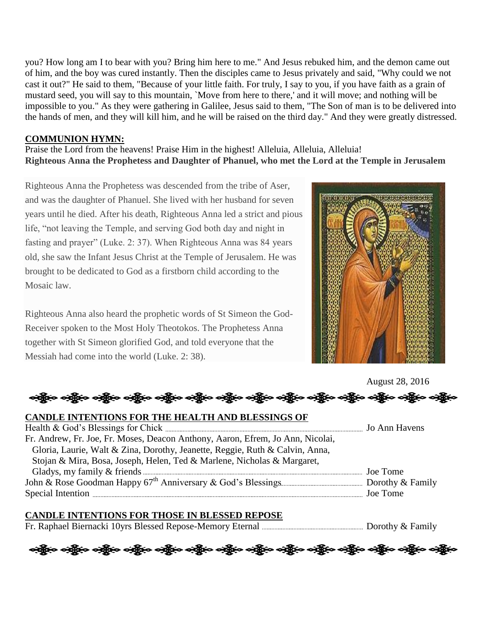you? How long am I to bear with you? Bring him here to me." And Jesus rebuked him, and the demon came out of him, and the boy was cured instantly. Then the disciples came to Jesus privately and said, "Why could we not cast it out?" He said to them, "Because of your little faith. For truly, I say to you, if you have faith as a grain of mustard seed, you will say to this mountain, `Move from here to there,' and it will move; and nothing will be impossible to you." As they were gathering in Galilee, Jesus said to them, "The Son of man is to be delivered into the hands of men, and they will kill him, and he will be raised on the third day." And they were greatly distressed.

#### **COMMUNION HYMN:**

Praise the Lord from the heavens! Praise Him in the highest! Alleluia, Alleluia, Alleluia! **Righteous Anna the Prophetess and Daughter of Phanuel, who met the Lord at the Temple in Jerusalem**

Righteous Anna the Prophetess was descended from the tribe of Aser, and was the daughter of Phanuel. She lived with her husband for seven years until he died. After his death, Righteous Anna led a strict and pious life, "not leaving the Temple, and serving God both day and night in fasting and prayer" (Luke. 2: 37). When Righteous Anna was 84 years old, she saw the Infant Jesus Christ at the Temple of Jerusalem. He was brought to be dedicated to God as a firstborn child according to the Mosaic law.

Righteous Anna also heard the prophetic words of St Simeon the God-Receiver spoken to the Most Holy Theotokos. The Prophetess Anna together with St Simeon glorified God, and told everyone that the Messiah had come into the world (Luke. 2: 38).



August 28, 2016

ေလ့နို့မှ ဝတ္ထိမှ ဝတ္ထိမှ ဝတ္ထိမှ ဝတ္ထိမှ ဝတ္ထိမှ ဝတ္ထိမှ ဝတ္ထိမှ ဝတ္ထိမှ ဝတ္ထိမှ ဝတ္ထိမှ ဝတ္ထိမှ ဝ

#### **CANDLE INTENTIONS FOR THE HEALTH AND BLESSINGS OF**

| Fr. Andrew, Fr. Joe, Fr. Moses, Deacon Anthony, Aaron, Efrem, Jo Ann, Nicolai, |  |
|--------------------------------------------------------------------------------|--|
| Gloria, Laurie, Walt & Zina, Dorothy, Jeanette, Reggie, Ruth & Calvin, Anna,   |  |
| Stojan & Mira, Bosa, Joseph, Helen, Ted & Marlene, Nicholas & Margaret,        |  |
|                                                                                |  |
|                                                                                |  |
|                                                                                |  |
|                                                                                |  |

## **CANDLE INTENTIONS FOR THOSE IN BLESSED REPOSE**

Fr. Raphael Biernacki 10yrs Blessed Repose-Memory Eternal Dorothy & Family

ားရွိပြား သန္တို့က သန္တြို့က သန္တြို့က သန္တြိုက သန္တြိုက သန္တြိုက သန္တြိုက သန္တြိုက သန္တြိုက သန္တြိုက သန္တိုက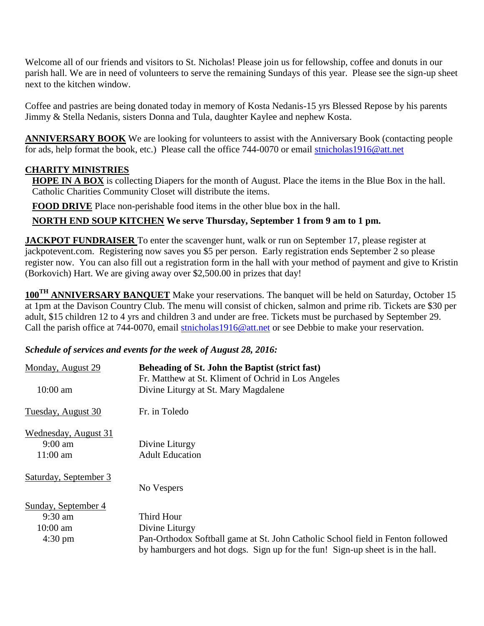Welcome all of our friends and visitors to St. Nicholas! Please join us for fellowship, coffee and donuts in our parish hall. We are in need of volunteers to serve the remaining Sundays of this year. Please see the sign-up sheet next to the kitchen window.

Coffee and pastries are being donated today in memory of Kosta Nedanis-15 yrs Blessed Repose by his parents Jimmy & Stella Nedanis, sisters Donna and Tula, daughter Kaylee and nephew Kosta.

**ANNIVERSARY BOOK** We are looking for volunteers to assist with the Anniversary Book (contacting people for ads, help format the book, etc.) Please call the office 744-0070 or email [stnicholas1916@att.net](mailto:stnicholas1916@att.net)

### **CHARITY MINISTRIES**

**HOPE IN A BOX** is collecting Diapers for the month of August. Place the items in the Blue Box in the hall. Catholic Charities Community Closet will distribute the items.

**FOOD DRIVE** Place non-perishable food items in the other blue box in the hall.

### **NORTH END SOUP KITCHEN We serve Thursday, September 1 from 9 am to 1 pm.**

**JACKPOT FUNDRAISER** To enter the scavenger hunt, walk or run on September 17, please register at jackpotevent.com. Registering now saves you \$5 per person. Early registration ends September 2 so please register now. You can also fill out a registration form in the hall with your method of payment and give to Kristin (Borkovich) Hart. We are giving away over \$2,500.00 in prizes that day!

**100TH ANNIVERSARY BANQUET** Make your reservations. The banquet will be held on Saturday, October 15 at 1pm at the Davison Country Club. The menu will consist of chicken, salmon and prime rib. Tickets are \$30 per adult, \$15 children 12 to 4 yrs and children 3 and under are free. Tickets must be purchased by September 29. Call the parish office at 744-0070, email [stnicholas1916@att.net](mailto:stnicholas1916@att.net) or see Debbie to make your reservation.

#### *Schedule of services and events for the week of August 28, 2016:*

| Monday, August 29     | Beheading of St. John the Baptist (strict fast)                                 |
|-----------------------|---------------------------------------------------------------------------------|
|                       | Fr. Matthew at St. Kliment of Ochrid in Los Angeles                             |
| $10:00$ am            | Divine Liturgy at St. Mary Magdalene                                            |
| Tuesday, August 30    | Fr. in Toledo                                                                   |
| Wednesday, August 31  |                                                                                 |
| $9:00 \text{ am}$     | Divine Liturgy                                                                  |
| $11:00$ am            | <b>Adult Education</b>                                                          |
| Saturday, September 3 |                                                                                 |
|                       | No Vespers                                                                      |
| Sunday, September 4   |                                                                                 |
| $9:30$ am             | Third Hour                                                                      |
| $10:00$ am            | Divine Liturgy                                                                  |
| $4:30 \text{ pm}$     | Pan-Orthodox Softball game at St. John Catholic School field in Fenton followed |
|                       | by hamburgers and hot dogs. Sign up for the fun! Sign-up sheet is in the hall.  |